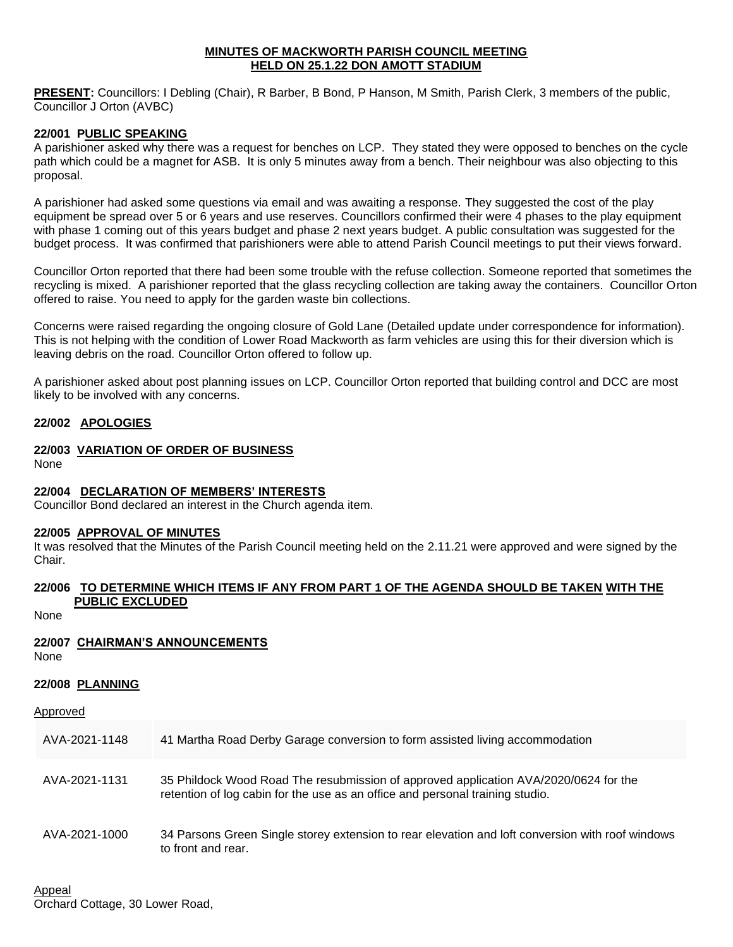#### **MINUTES OF MACKWORTH PARISH COUNCIL MEETING HELD ON 25.1.22 DON AMOTT STADIUM**

**PRESENT:** Councillors: I Debling (Chair), R Barber, B Bond, P Hanson, M Smith, Parish Clerk, 3 members of the public, Councillor J Orton (AVBC)

#### **22/001 PUBLIC SPEAKING**

A parishioner asked why there was a request for benches on LCP. They stated they were opposed to benches on the cycle path which could be a magnet for ASB. It is only 5 minutes away from a bench. Their neighbour was also objecting to this proposal.

A parishioner had asked some questions via email and was awaiting a response. They suggested the cost of the play equipment be spread over 5 or 6 years and use reserves. Councillors confirmed their were 4 phases to the play equipment with phase 1 coming out of this years budget and phase 2 next years budget. A public consultation was suggested for the budget process. It was confirmed that parishioners were able to attend Parish Council meetings to put their views forward.

Councillor Orton reported that there had been some trouble with the refuse collection. Someone reported that sometimes the recycling is mixed. A parishioner reported that the glass recycling collection are taking away the containers. Councillor Orton offered to raise. You need to apply for the garden waste bin collections.

Concerns were raised regarding the ongoing closure of Gold Lane (Detailed update under correspondence for information). This is not helping with the condition of Lower Road Mackworth as farm vehicles are using this for their diversion which is leaving debris on the road. Councillor Orton offered to follow up.

A parishioner asked about post planning issues on LCP. Councillor Orton reported that building control and DCC are most likely to be involved with any concerns.

#### **22/002 APOLOGIES**

## **22/003 VARIATION OF ORDER OF BUSINESS**

None

## **22/004 DECLARATION OF MEMBERS' INTERESTS**

Councillor Bond declared an interest in the Church agenda item.

#### **22/005 APPROVAL OF MINUTES**

It was resolved that the Minutes of the Parish Council meeting held on the 2.11.21 were approved and were signed by the Chair.

#### **22/006 TO DETERMINE WHICH ITEMS IF ANY FROM PART 1 OF THE AGENDA SHOULD BE TAKEN WITH THE PUBLIC EXCLUDED**

None

# **22/007 CHAIRMAN'S ANNOUNCEMENTS**

None

#### **22/008 PLANNING**

| Approved |
|----------|
|----------|

| AVA-2021-1148 | 41 Martha Road Derby Garage conversion to form assisted living accommodation                                                                                          |
|---------------|-----------------------------------------------------------------------------------------------------------------------------------------------------------------------|
| AVA-2021-1131 | 35 Phildock Wood Road The resubmission of approved application AVA/2020/0624 for the<br>retention of log cabin for the use as an office and personal training studio. |
| AVA-2021-1000 | 34 Parsons Green Single storey extension to rear elevation and loft conversion with roof windows<br>to front and rear.                                                |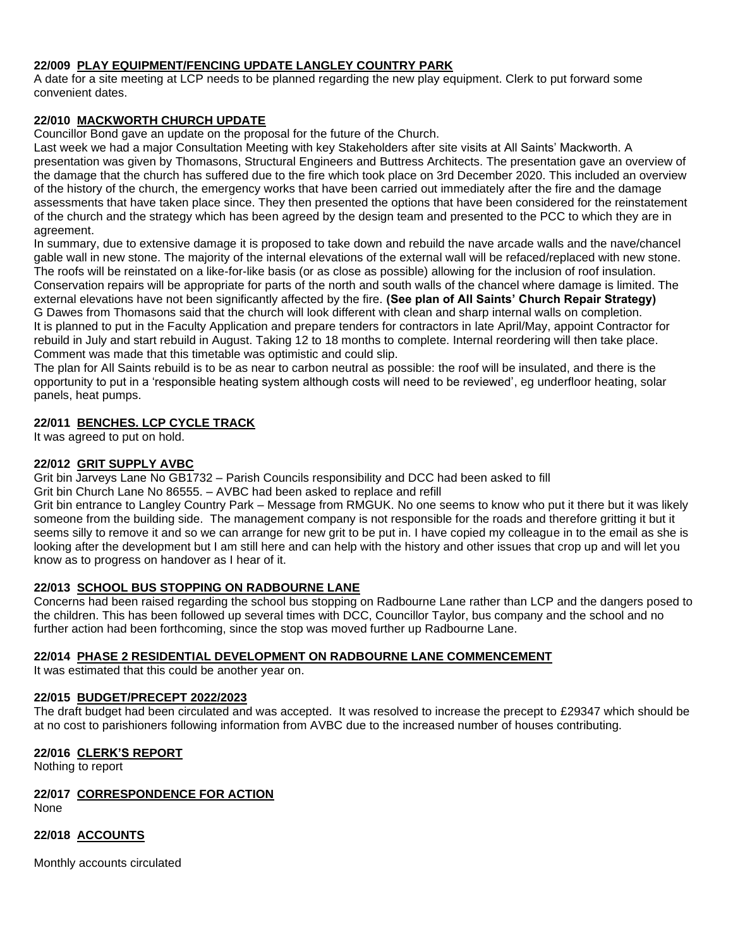## **22/009 PLAY EQUIPMENT/FENCING UPDATE LANGLEY COUNTRY PARK**

A date for a site meeting at LCP needs to be planned regarding the new play equipment. Clerk to put forward some convenient dates.

### **22/010 MACKWORTH CHURCH UPDATE**

Councillor Bond gave an update on the proposal for the future of the Church.

Last week we had a major Consultation Meeting with key Stakeholders after site visits at All Saints' Mackworth. A presentation was given by Thomasons, Structural Engineers and Buttress Architects. The presentation gave an overview of the damage that the church has suffered due to the fire which took place on 3rd December 2020. This included an overview of the history of the church, the emergency works that have been carried out immediately after the fire and the damage assessments that have taken place since. They then presented the options that have been considered for the reinstatement of the church and the strategy which has been agreed by the design team and presented to the PCC to which they are in agreement.

In summary, due to extensive damage it is proposed to take down and rebuild the nave arcade walls and the nave/chancel gable wall in new stone. The majority of the internal elevations of the external wall will be refaced/replaced with new stone. The roofs will be reinstated on a like-for-like basis (or as close as possible) allowing for the inclusion of roof insulation. Conservation repairs will be appropriate for parts of the north and south walls of the chancel where damage is limited. The external elevations have not been significantly affected by the fire. **(See plan of All Saints' Church Repair Strategy)** G Dawes from Thomasons said that the church will look different with clean and sharp internal walls on completion. It is planned to put in the Faculty Application and prepare tenders for contractors in late April/May, appoint Contractor for rebuild in July and start rebuild in August. Taking 12 to 18 months to complete. Internal reordering will then take place. Comment was made that this timetable was optimistic and could slip.

The plan for All Saints rebuild is to be as near to carbon neutral as possible: the roof will be insulated, and there is the opportunity to put in a 'responsible heating system although costs will need to be reviewed', eg underfloor heating, solar panels, heat pumps.

#### **22/011 BENCHES. LCP CYCLE TRACK**

It was agreed to put on hold.

## **22/012 GRIT SUPPLY AVBC**

Grit bin Jarveys Lane No GB1732 – Parish Councils responsibility and DCC had been asked to fill

Grit bin Church Lane No 86555. – AVBC had been asked to replace and refill

Grit bin entrance to Langley Country Park – Message from RMGUK. No one seems to know who put it there but it was likely someone from the building side. The management company is not responsible for the roads and therefore gritting it but it seems silly to remove it and so we can arrange for new grit to be put in. I have copied my colleague in to the email as she is looking after the development but I am still here and can help with the history and other issues that crop up and will let you know as to progress on handover as I hear of it.

## **22/013 SCHOOL BUS STOPPING ON RADBOURNE LANE**

Concerns had been raised regarding the school bus stopping on Radbourne Lane rather than LCP and the dangers posed to the children. This has been followed up several times with DCC, Councillor Taylor, bus company and the school and no further action had been forthcoming, since the stop was moved further up Radbourne Lane.

#### **22/014 PHASE 2 RESIDENTIAL DEVELOPMENT ON RADBOURNE LANE COMMENCEMENT**

It was estimated that this could be another year on.

#### **22/015 BUDGET/PRECEPT 2022/2023**

The draft budget had been circulated and was accepted. It was resolved to increase the precept to £29347 which should be at no cost to parishioners following information from AVBC due to the increased number of houses contributing.

#### **22/016 CLERK'S REPORT**

Nothing to report

## **22/017 CORRESPONDENCE FOR ACTION**

None

## **22/018 ACCOUNTS**

Monthly accounts circulated